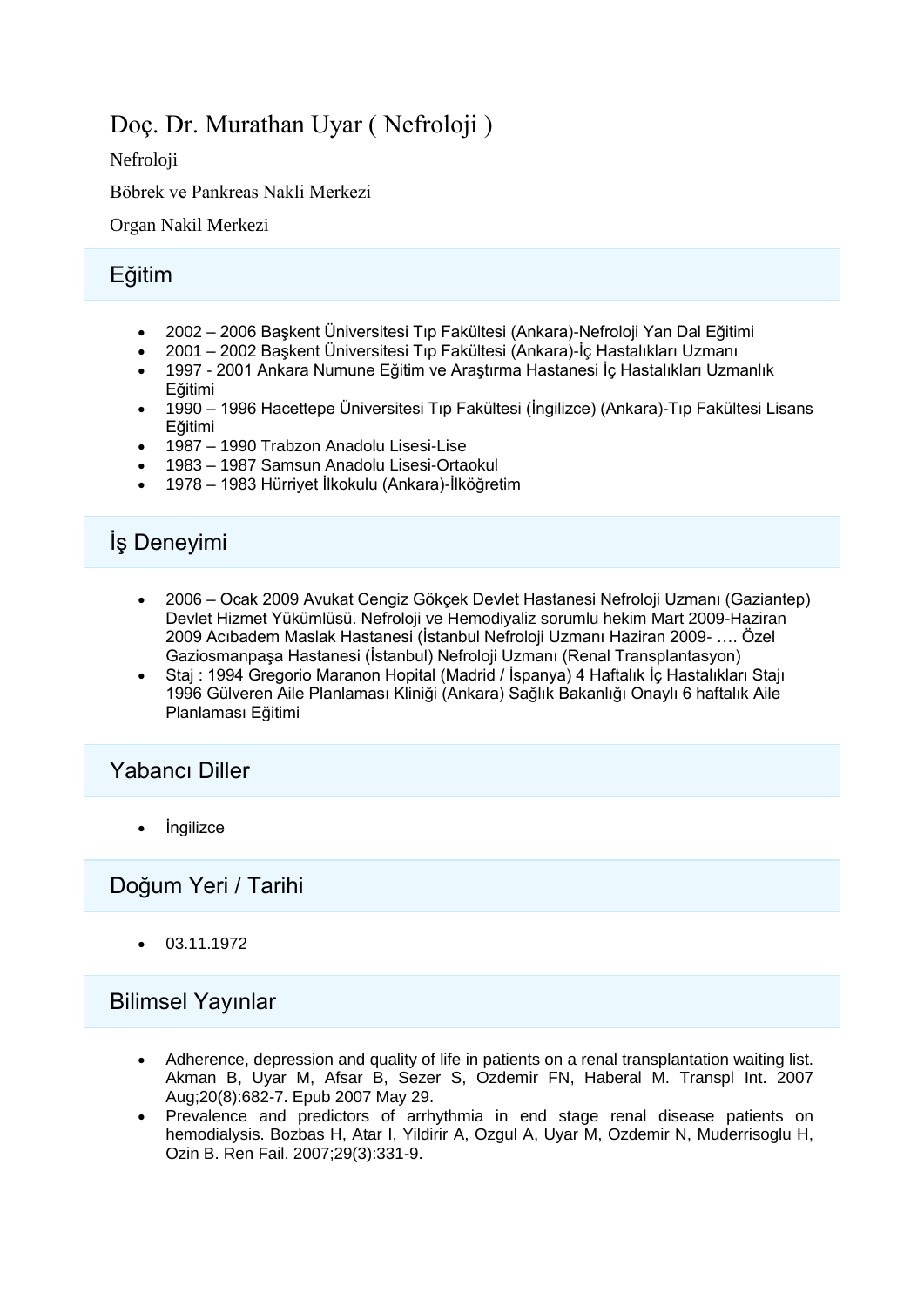## Doç. Dr. Murathan Uyar ( Nefroloji )

Nefroloji

Böbrek ve Pankreas Nakli Merkezi

Organ Nakil Merkezi

### Eğitim

- 2002 2006 Başkent Üniversitesi Tıp Fakültesi (Ankara)-Nefroloji Yan Dal Eğitimi
- 2001 2002 Başkent Üniversitesi Tıp Fakültesi (Ankara)-İç Hastalıkları Uzmanı
- 1997 2001 Ankara Numune Eğitim ve Araştırma Hastanesi İç Hastalıkları Uzmanlık Eğitimi
- 1990 1996 Hacettepe Üniversitesi Tıp Fakültesi (İngilizce) (Ankara)-Tıp Fakültesi Lisans Eğitimi
- 1987 1990 Trabzon Anadolu Lisesi-Lise
- 1983 1987 Samsun Anadolu Lisesi-Ortaokul
- 1978 1983 Hürriyet İlkokulu (Ankara)-İlköğretim

# İş Deneyimi

- 2006 Ocak 2009 Avukat Cengiz Gökçek Devlet Hastanesi Nefroloji Uzmanı (Gaziantep) Devlet Hizmet Yükümlüsü. Nefroloji ve Hemodiyaliz sorumlu hekim Mart 2009-Haziran 2009 Acıbadem Maslak Hastanesi (İstanbul Nefroloji Uzmanı Haziran 2009- …. Özel Gaziosmanpaşa Hastanesi (İstanbul) Nefroloji Uzmanı (Renal Transplantasyon)
- Staj : 1994 Gregorio Maranon Hopital (Madrid / İspanya) 4 Haftalık İç Hastalıkları Stajı 1996 Gülveren Aile Planlaması Kliniği (Ankara) Sağlık Bakanlığı Onaylı 6 haftalık Aile Planlaması Eğitimi

### Yabancı Diller

İngilizce

### Doğum Yeri / Tarihi

03.11.1972

#### Bilimsel Yayınlar

- Adherence, depression and quality of life in patients on a renal transplantation waiting list. Akman B, Uyar M, Afsar B, Sezer S, Ozdemir FN, Haberal M. Transpl Int. 2007 Aug;20(8):682-7. Epub 2007 May 29.
- Prevalence and predictors of arrhythmia in end stage renal disease patients on hemodialysis. Bozbas H, Atar I, Yildirir A, Ozgul A, Uyar M, Ozdemir N, Muderrisoglu H, Ozin B. Ren Fail. 2007;29(3):331-9.